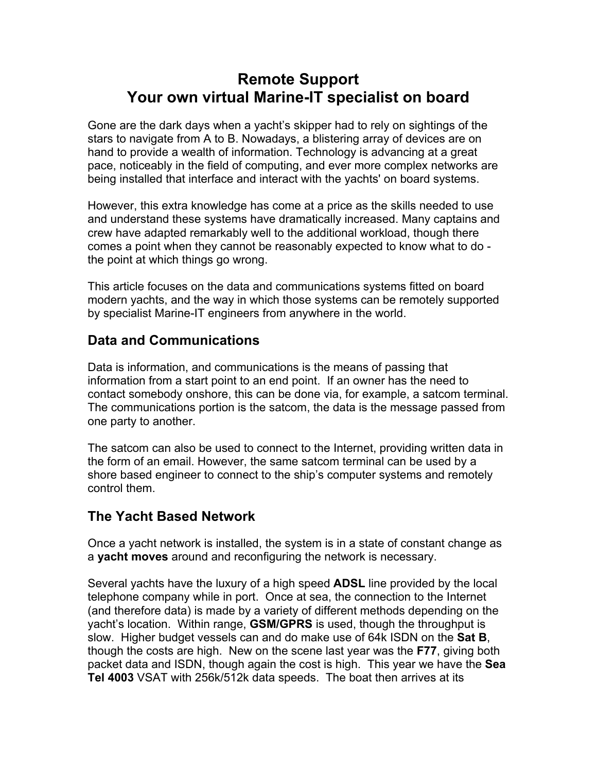# **Remote Support Your own virtual Marine-IT specialist on board**

Gone are the dark days when a yacht's skipper had to rely on sightings of the stars to navigate from A to B. Nowadays, a blistering array of devices are on hand to provide a wealth of information. Technology is advancing at a great pace, noticeably in the field of computing, and ever more complex networks are being installed that interface and interact with the yachts' on board systems.

However, this extra knowledge has come at a price as the skills needed to use and understand these systems have dramatically increased. Many captains and crew have adapted remarkably well to the additional workload, though there comes a point when they cannot be reasonably expected to know what to do the point at which things go wrong.

This article focuses on the data and communications systems fitted on board modern yachts, and the way in which those systems can be remotely supported by specialist Marine-IT engineers from anywhere in the world.

# **Data and Communications**

Data is information, and communications is the means of passing that information from a start point to an end point. If an owner has the need to contact somebody onshore, this can be done via, for example, a satcom terminal. The communications portion is the satcom, the data is the message passed from one party to another.

The satcom can also be used to connect to the Internet, providing written data in the form of an email. However, the same satcom terminal can be used by a shore based engineer to connect to the ship's computer systems and remotely control them.

# **The Yacht Based Network**

Once a yacht network is installed, the system is in a state of constant change as a **yacht moves** around and reconfiguring the network is necessary.

Several yachts have the luxury of a high speed **ADSL** line provided by the local telephone company while in port. Once at sea, the connection to the Internet (and therefore data) is made by a variety of different methods depending on the yacht's location. Within range, **GSM/GPRS** is used, though the throughput is slow. Higher budget vessels can and do make use of 64k ISDN on the **Sat B**, though the costs are high. New on the scene last year was the **F77**, giving both packet data and ISDN, though again the cost is high. This year we have the **Sea Tel 4003** VSAT with 256k/512k data speeds. The boat then arrives at its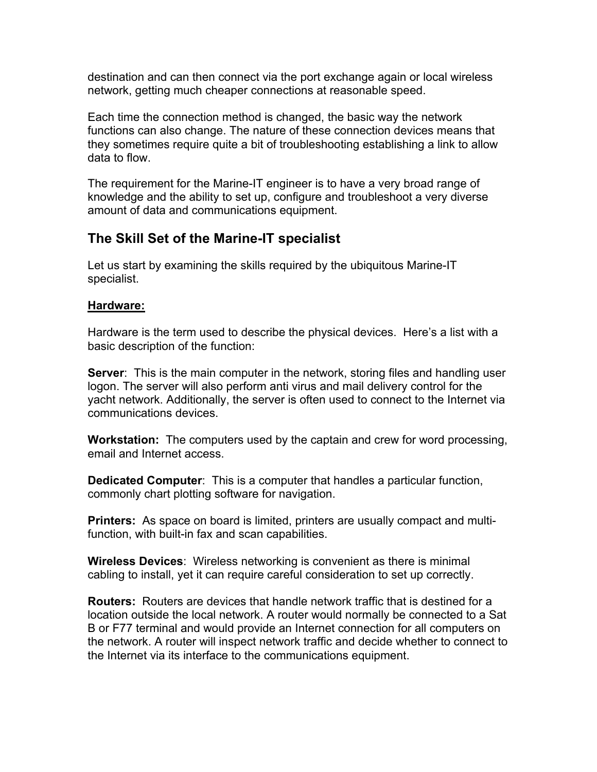destination and can then connect via the port exchange again or local wireless network, getting much cheaper connections at reasonable speed.

Each time the connection method is changed, the basic way the network functions can also change. The nature of these connection devices means that they sometimes require quite a bit of troubleshooting establishing a link to allow data to flow.

The requirement for the Marine-IT engineer is to have a very broad range of knowledge and the ability to set up, configure and troubleshoot a very diverse amount of data and communications equipment.

### **The Skill Set of the Marine-IT specialist**

Let us start by examining the skills required by the ubiquitous Marine-IT specialist.

#### **Hardware:**

Hardware is the term used to describe the physical devices. Here's a list with a basic description of the function:

**Server**: This is the main computer in the network, storing files and handling user logon. The server will also perform anti virus and mail delivery control for the yacht network. Additionally, the server is often used to connect to the Internet via communications devices.

**Workstation:** The computers used by the captain and crew for word processing, email and Internet access.

**Dedicated Computer**: This is a computer that handles a particular function, commonly chart plotting software for navigation.

**Printers:** As space on board is limited, printers are usually compact and multifunction, with built-in fax and scan capabilities.

**Wireless Devices**: Wireless networking is convenient as there is minimal cabling to install, yet it can require careful consideration to set up correctly.

**Routers:** Routers are devices that handle network traffic that is destined for a location outside the local network. A router would normally be connected to a Sat B or F77 terminal and would provide an Internet connection for all computers on the network. A router will inspect network traffic and decide whether to connect to the Internet via its interface to the communications equipment.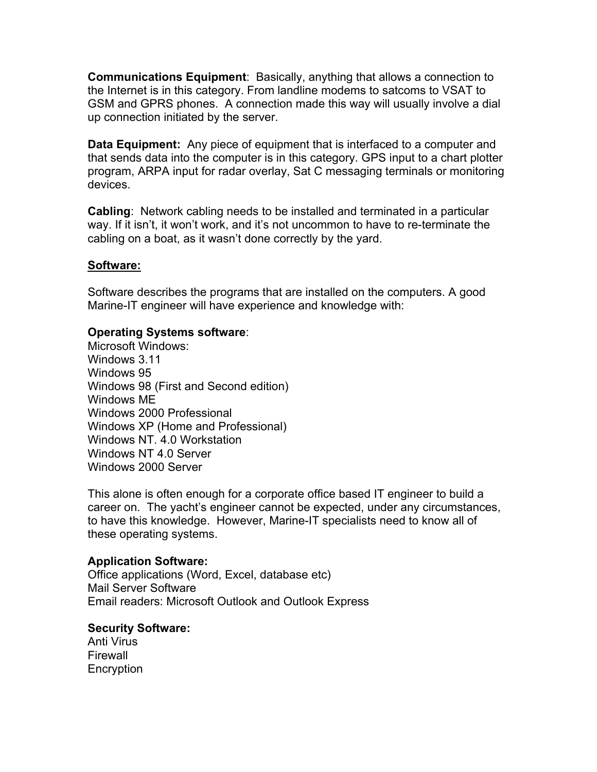**Communications Equipment**: Basically, anything that allows a connection to the Internet is in this category. From landline modems to satcoms to VSAT to GSM and GPRS phones. A connection made this way will usually involve a dial up connection initiated by the server.

**Data Equipment:** Any piece of equipment that is interfaced to a computer and that sends data into the computer is in this category. GPS input to a chart plotter program, ARPA input for radar overlay, Sat C messaging terminals or monitoring devices.

**Cabling**: Network cabling needs to be installed and terminated in a particular way. If it isn't, it won't work, and it's not uncommon to have to re-terminate the cabling on a boat, as it wasn't done correctly by the yard.

#### **Software:**

Software describes the programs that are installed on the computers. A good Marine-IT engineer will have experience and knowledge with:

#### **Operating Systems software**:

Microsoft Windows: Windows 3.11 Windows 95 Windows 98 (First and Second edition) Windows ME Windows 2000 Professional Windows XP (Home and Professional) Windows NT. 4.0 Workstation Windows NT 4.0 Server Windows 2000 Server

This alone is often enough for a corporate office based IT engineer to build a career on. The yacht's engineer cannot be expected, under any circumstances, to have this knowledge. However, Marine-IT specialists need to know all of these operating systems.

#### **Application Software:**

Office applications (Word, Excel, database etc) Mail Server Software Email readers: Microsoft Outlook and Outlook Express

#### **Security Software:**

Anti Virus Firewall Encryption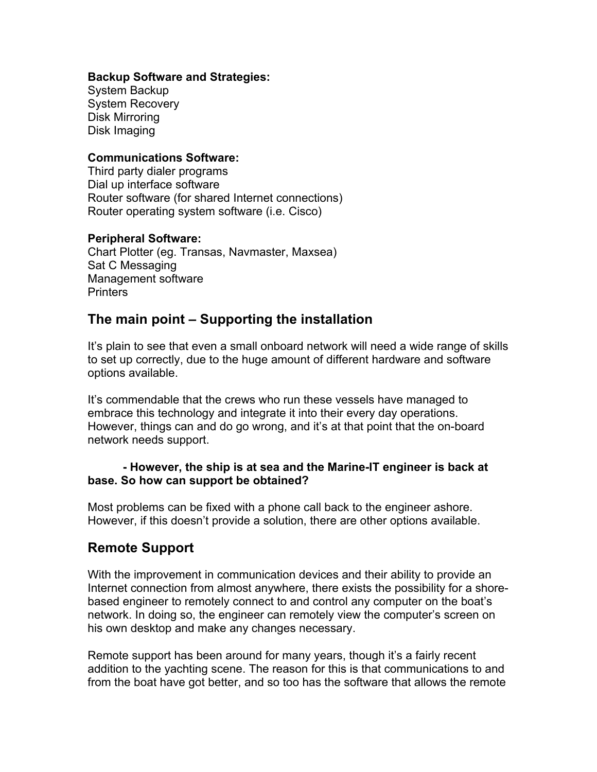#### **Backup Software and Strategies:**

System Backup System Recovery Disk Mirroring Disk Imaging

#### **Communications Software:**

Third party dialer programs Dial up interface software Router software (for shared Internet connections) Router operating system software (i.e. Cisco)

#### **Peripheral Software:**

Chart Plotter (eg. Transas, Navmaster, Maxsea) Sat C Messaging Management software **Printers** 

### **The main point – Supporting the installation**

It's plain to see that even a small onboard network will need a wide range of skills to set up correctly, due to the huge amount of different hardware and software options available.

It's commendable that the crews who run these vessels have managed to embrace this technology and integrate it into their every day operations. However, things can and do go wrong, and it's at that point that the on-board network needs support.

#### **- However, the ship is at sea and the Marine-IT engineer is back at base. So how can support be obtained?**

Most problems can be fixed with a phone call back to the engineer ashore. However, if this doesn't provide a solution, there are other options available.

### **Remote Support**

With the improvement in communication devices and their ability to provide an Internet connection from almost anywhere, there exists the possibility for a shorebased engineer to remotely connect to and control any computer on the boat's network. In doing so, the engineer can remotely view the computer's screen on his own desktop and make any changes necessary.

Remote support has been around for many years, though it's a fairly recent addition to the yachting scene. The reason for this is that communications to and from the boat have got better, and so too has the software that allows the remote